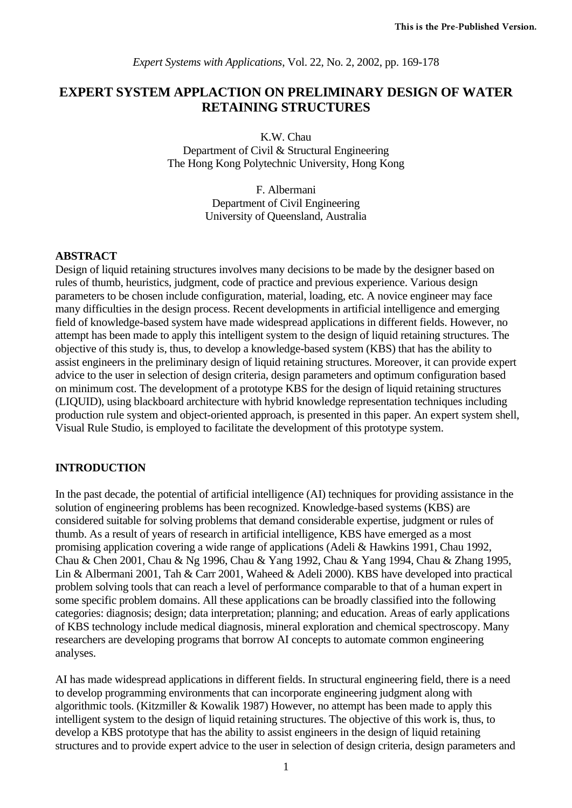# **EXPERT SYSTEM APPLACTION ON PRELIMINARY DESIGN OF WATER RETAINING STRUCTURES**

K.W. Chau Department of Civil & Structural Engineering The Hong Kong Polytechnic University, Hong Kong

> F. Albermani Department of Civil Engineering University of Queensland, Australia

#### **ABSTRACT**

Design of liquid retaining structures involves many decisions to be made by the designer based on rules of thumb, heuristics, judgment, code of practice and previous experience. Various design parameters to be chosen include configuration, material, loading, etc. A novice engineer may face many difficulties in the design process. Recent developments in artificial intelligence and emerging field of knowledge-based system have made widespread applications in different fields. However, no attempt has been made to apply this intelligent system to the design of liquid retaining structures. The objective of this study is, thus, to develop a knowledge-based system (KBS) that has the ability to assist engineers in the preliminary design of liquid retaining structures. Moreover, it can provide expert advice to the user in selection of design criteria, design parameters and optimum configuration based on minimum cost. The development of a prototype KBS for the design of liquid retaining structures (LIQUID), using blackboard architecture with hybrid knowledge representation techniques including production rule system and object-oriented approach, is presented in this paper. An expert system shell, Visual Rule Studio, is employed to facilitate the development of this prototype system.

#### **INTRODUCTION**

In the past decade, the potential of artificial intelligence (AI) techniques for providing assistance in the solution of engineering problems has been recognized. Knowledge-based systems (KBS) are considered suitable for solving problems that demand considerable expertise, judgment or rules of thumb. As a result of years of research in artificial intelligence, KBS have emerged as a most promising application covering a wide range of applications (Adeli & Hawkins 1991, Chau 1992, Chau & Chen 2001, Chau & Ng 1996, Chau & Yang 1992, Chau & Yang 1994, Chau & Zhang 1995, Lin & Albermani 2001, Tah & Carr 2001, Waheed & Adeli 2000). KBS have developed into practical problem solving tools that can reach a level of performance comparable to that of a human expert in some specific problem domains. All these applications can be broadly classified into the following categories: diagnosis; design; data interpretation; planning; and education. Areas of early applications of KBS technology include medical diagnosis, mineral exploration and chemical spectroscopy. Many researchers are developing programs that borrow AI concepts to automate common engineering analyses.

AI has made widespread applications in different fields. In structural engineering field, there is a need to develop programming environments that can incorporate engineering judgment along with algorithmic tools. (Kitzmiller & Kowalik 1987) However, no attempt has been made to apply this intelligent system to the design of liquid retaining structures. The objective of this work is, thus, to develop a KBS prototype that has the ability to assist engineers in the design of liquid retaining structures and to provide expert advice to the user in selection of design criteria, design parameters and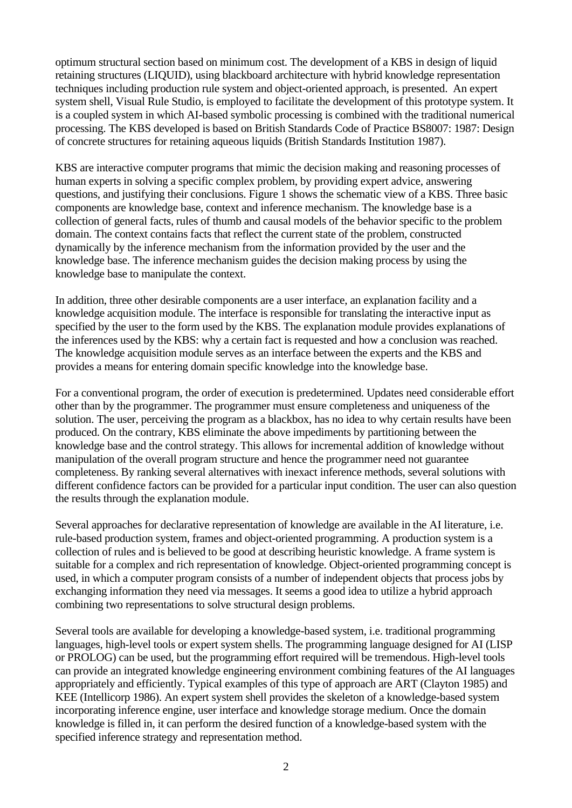optimum structural section based on minimum cost. The development of a KBS in design of liquid retaining structures (LIQUID), using blackboard architecture with hybrid knowledge representation techniques including production rule system and object-oriented approach, is presented. An expert system shell, Visual Rule Studio, is employed to facilitate the development of this prototype system. It is a coupled system in which AI-based symbolic processing is combined with the traditional numerical processing. The KBS developed is based on British Standards Code of Practice BS8007: 1987: Design of concrete structures for retaining aqueous liquids (British Standards Institution 1987).

KBS are interactive computer programs that mimic the decision making and reasoning processes of human experts in solving a specific complex problem, by providing expert advice, answering questions, and justifying their conclusions. Figure 1 shows the schematic view of a KBS. Three basic components are knowledge base, context and inference mechanism. The knowledge base is a collection of general facts, rules of thumb and causal models of the behavior specific to the problem domain. The context contains facts that reflect the current state of the problem, constructed dynamically by the inference mechanism from the information provided by the user and the knowledge base. The inference mechanism guides the decision making process by using the knowledge base to manipulate the context.

In addition, three other desirable components are a user interface, an explanation facility and a knowledge acquisition module. The interface is responsible for translating the interactive input as specified by the user to the form used by the KBS. The explanation module provides explanations of the inferences used by the KBS: why a certain fact is requested and how a conclusion was reached. The knowledge acquisition module serves as an interface between the experts and the KBS and provides a means for entering domain specific knowledge into the knowledge base.

For a conventional program, the order of execution is predetermined. Updates need considerable effort other than by the programmer. The programmer must ensure completeness and uniqueness of the solution. The user, perceiving the program as a blackbox, has no idea to why certain results have been produced. On the contrary, KBS eliminate the above impediments by partitioning between the knowledge base and the control strategy. This allows for incremental addition of knowledge without manipulation of the overall program structure and hence the programmer need not guarantee completeness. By ranking several alternatives with inexact inference methods, several solutions with different confidence factors can be provided for a particular input condition. The user can also question the results through the explanation module.

Several approaches for declarative representation of knowledge are available in the AI literature, i.e. rule-based production system, frames and object-oriented programming. A production system is a collection of rules and is believed to be good at describing heuristic knowledge. A frame system is suitable for a complex and rich representation of knowledge. Object-oriented programming concept is used, in which a computer program consists of a number of independent objects that process jobs by exchanging information they need via messages. It seems a good idea to utilize a hybrid approach combining two representations to solve structural design problems.

Several tools are available for developing a knowledge-based system, i.e. traditional programming languages, high-level tools or expert system shells. The programming language designed for AI (LISP or PROLOG) can be used, but the programming effort required will be tremendous. High-level tools can provide an integrated knowledge engineering environment combining features of the AI languages appropriately and efficiently. Typical examples of this type of approach are ART (Clayton 1985) and KEE (Intellicorp 1986). An expert system shell provides the skeleton of a knowledge-based system incorporating inference engine, user interface and knowledge storage medium. Once the domain knowledge is filled in, it can perform the desired function of a knowledge-based system with the specified inference strategy and representation method.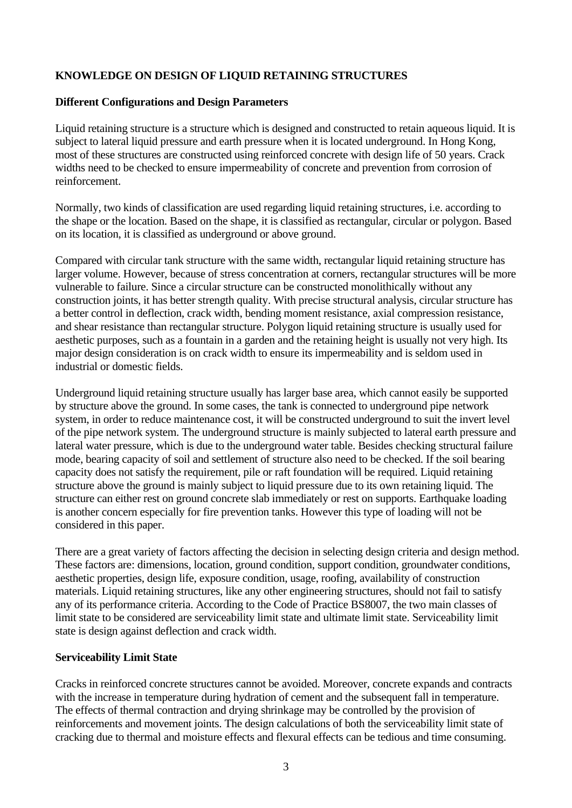#### **KNOWLEDGE ON DESIGN OF LIQUID RETAINING STRUCTURES**

#### **Different Configurations and Design Parameters**

Liquid retaining structure is a structure which is designed and constructed to retain aqueous liquid. It is subject to lateral liquid pressure and earth pressure when it is located underground. In Hong Kong, most of these structures are constructed using reinforced concrete with design life of 50 years. Crack widths need to be checked to ensure impermeability of concrete and prevention from corrosion of reinforcement.

Normally, two kinds of classification are used regarding liquid retaining structures, i.e. according to the shape or the location. Based on the shape, it is classified as rectangular, circular or polygon. Based on its location, it is classified as underground or above ground.

Compared with circular tank structure with the same width, rectangular liquid retaining structure has larger volume. However, because of stress concentration at corners, rectangular structures will be more vulnerable to failure. Since a circular structure can be constructed monolithically without any construction joints, it has better strength quality. With precise structural analysis, circular structure has a better control in deflection, crack width, bending moment resistance, axial compression resistance, and shear resistance than rectangular structure. Polygon liquid retaining structure is usually used for aesthetic purposes, such as a fountain in a garden and the retaining height is usually not very high. Its major design consideration is on crack width to ensure its impermeability and is seldom used in industrial or domestic fields.

Underground liquid retaining structure usually has larger base area, which cannot easily be supported by structure above the ground. In some cases, the tank is connected to underground pipe network system, in order to reduce maintenance cost, it will be constructed underground to suit the invert level of the pipe network system. The underground structure is mainly subjected to lateral earth pressure and lateral water pressure, which is due to the underground water table. Besides checking structural failure mode, bearing capacity of soil and settlement of structure also need to be checked. If the soil bearing capacity does not satisfy the requirement, pile or raft foundation will be required. Liquid retaining structure above the ground is mainly subject to liquid pressure due to its own retaining liquid. The structure can either rest on ground concrete slab immediately or rest on supports. Earthquake loading is another concern especially for fire prevention tanks. However this type of loading will not be considered in this paper.

There are a great variety of factors affecting the decision in selecting design criteria and design method. These factors are: dimensions, location, ground condition, support condition, groundwater conditions, aesthetic properties, design life, exposure condition, usage, roofing, availability of construction materials. Liquid retaining structures, like any other engineering structures, should not fail to satisfy any of its performance criteria. According to the Code of Practice BS8007, the two main classes of limit state to be considered are serviceability limit state and ultimate limit state. Serviceability limit state is design against deflection and crack width.

#### **Serviceability Limit State**

Cracks in reinforced concrete structures cannot be avoided. Moreover, concrete expands and contracts with the increase in temperature during hydration of cement and the subsequent fall in temperature. The effects of thermal contraction and drying shrinkage may be controlled by the provision of reinforcements and movement joints. The design calculations of both the serviceability limit state of cracking due to thermal and moisture effects and flexural effects can be tedious and time consuming.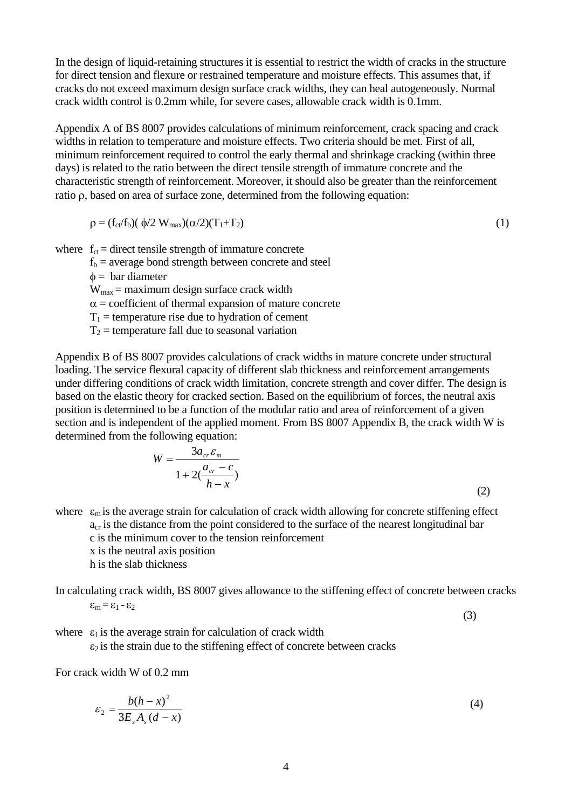In the design of liquid-retaining structures it is essential to restrict the width of cracks in the structure for direct tension and flexure or restrained temperature and moisture effects. This assumes that, if cracks do not exceed maximum design surface crack widths, they can heal autogeneously. Normal crack width control is 0.2mm while, for severe cases, allowable crack width is 0.1mm.

Appendix A of BS 8007 provides calculations of minimum reinforcement, crack spacing and crack widths in relation to temperature and moisture effects. Two criteria should be met. First of all, minimum reinforcement required to control the early thermal and shrinkage cracking (within three days) is related to the ratio between the direct tensile strength of immature concrete and the characteristic strength of reinforcement. Moreover, it should also be greater than the reinforcement ratio  $\rho$ , based on area of surface zone, determined from the following equation:

$$
\rho = (f_{ct}/f_b)(\phi/2 W_{max})(\alpha/2)(T_1+T_2)
$$
\n
$$
\tag{1}
$$

where  $f_{ct}$  = direct tensile strength of immature concrete

 $f_b$  = average bond strength between concrete and steel

 $\phi =$  bar diameter

 $W_{\text{max}}$  = maximum design surface crack width

 $\alpha$  = coefficient of thermal expansion of mature concrete

 $T_1$  = temperature rise due to hydration of cement

 $T_2$  = temperature fall due to seasonal variation

Appendix B of BS 8007 provides calculations of crack widths in mature concrete under structural loading. The service flexural capacity of different slab thickness and reinforcement arrangements under differing conditions of crack width limitation, concrete strength and cover differ. The design is based on the elastic theory for cracked section. Based on the equilibrium of forces, the neutral axis position is determined to be a function of the modular ratio and area of reinforcement of a given section and is independent of the applied moment. From BS 8007 Appendix B, the crack width W is determined from the following equation:

$$
W = \frac{3a_{cr}\varepsilon_m}{1 + 2(\frac{a_{cr} - c}{h - x})}
$$
\n(2)

where  $\varepsilon_m$  is the average strain for calculation of crack width allowing for concrete stiffening effect  $a_{cr}$  is the distance from the point considered to the surface of the nearest longitudinal bar c is the minimum cover to the tension reinforcement x is the neutral axis position

h is the slab thickness

In calculating crack width, BS 8007 gives allowance to the stiffening effect of concrete between cracks  $\varepsilon_m = \varepsilon_1 - \varepsilon_2$ (3)

where  $\varepsilon_1$  is the average strain for calculation of crack width  $\epsilon_2$  is the strain due to the stiffening effect of concrete between cracks

For crack width W of 0.2 mm

$$
\varepsilon_2 = \frac{b(h-x)^2}{3E_s A_s (d-x)}
$$
\n(4)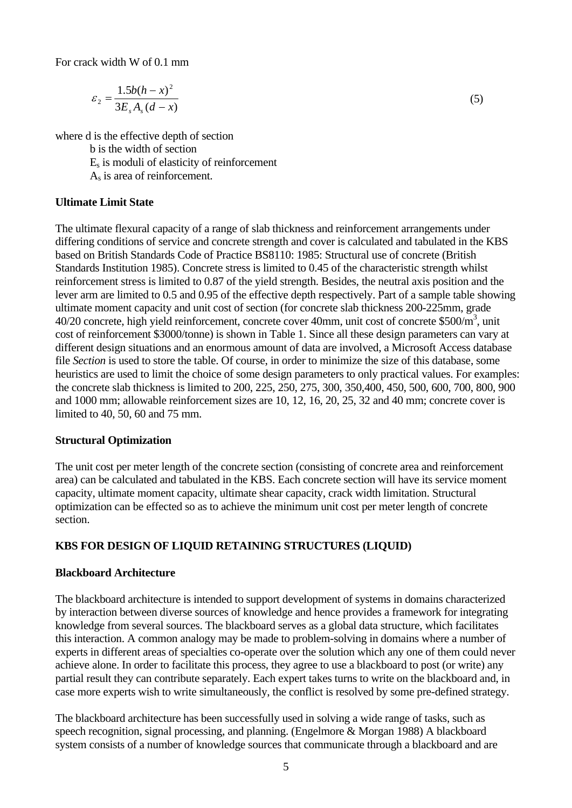For crack width W of 0.1 mm

$$
\varepsilon_2 = \frac{1.5b(h - x)^2}{3E_s A_s (d - x)}
$$
(5)

where d is the effective depth of section

b is the width of section  $E<sub>s</sub>$  is moduli of elasticity of reinforcement As is area of reinforcement.

#### **Ultimate Limit State**

The ultimate flexural capacity of a range of slab thickness and reinforcement arrangements under differing conditions of service and concrete strength and cover is calculated and tabulated in the KBS based on British Standards Code of Practice BS8110: 1985: Structural use of concrete (British Standards Institution 1985). Concrete stress is limited to 0.45 of the characteristic strength whilst reinforcement stress is limited to 0.87 of the yield strength. Besides, the neutral axis position and the lever arm are limited to 0.5 and 0.95 of the effective depth respectively. Part of a sample table showing ultimate moment capacity and unit cost of section (for concrete slab thickness 200-225mm, grade 40/20 concrete, high yield reinforcement, concrete cover 40mm, unit cost of concrete \$500/m<sup>3</sup>, unit cost of reinforcement \$3000/tonne) is shown in Table 1. Since all these design parameters can vary at different design situations and an enormous amount of data are involved, a Microsoft Access database file *Section* is used to store the table. Of course, in order to minimize the size of this database, some heuristics are used to limit the choice of some design parameters to only practical values. For examples: the concrete slab thickness is limited to 200, 225, 250, 275, 300, 350,400, 450, 500, 600, 700, 800, 900 and 1000 mm; allowable reinforcement sizes are 10, 12, 16, 20, 25, 32 and 40 mm; concrete cover is limited to 40, 50, 60 and 75 mm.

#### **Structural Optimization**

The unit cost per meter length of the concrete section (consisting of concrete area and reinforcement area) can be calculated and tabulated in the KBS. Each concrete section will have its service moment capacity, ultimate moment capacity, ultimate shear capacity, crack width limitation. Structural optimization can be effected so as to achieve the minimum unit cost per meter length of concrete section.

#### **KBS FOR DESIGN OF LIQUID RETAINING STRUCTURES (LIQUID)**

#### **Blackboard Architecture**

The blackboard architecture is intended to support development of systems in domains characterized by interaction between diverse sources of knowledge and hence provides a framework for integrating knowledge from several sources. The blackboard serves as a global data structure, which facilitates this interaction. A common analogy may be made to problem-solving in domains where a number of experts in different areas of specialties co-operate over the solution which any one of them could never achieve alone. In order to facilitate this process, they agree to use a blackboard to post (or write) any partial result they can contribute separately. Each expert takes turns to write on the blackboard and, in case more experts wish to write simultaneously, the conflict is resolved by some pre-defined strategy.

The blackboard architecture has been successfully used in solving a wide range of tasks, such as speech recognition, signal processing, and planning. (Engelmore & Morgan 1988) A blackboard system consists of a number of knowledge sources that communicate through a blackboard and are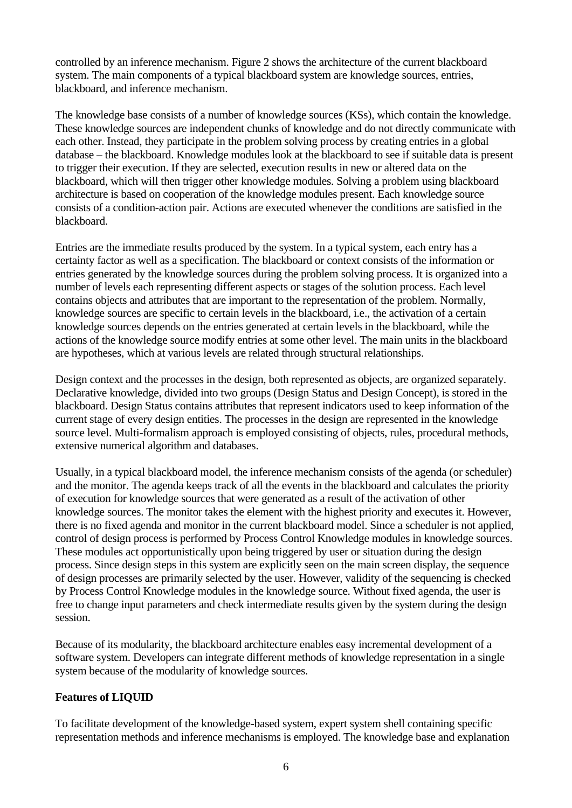controlled by an inference mechanism. Figure 2 shows the architecture of the current blackboard system. The main components of a typical blackboard system are knowledge sources, entries, blackboard, and inference mechanism.

The knowledge base consists of a number of knowledge sources (KSs), which contain the knowledge. These knowledge sources are independent chunks of knowledge and do not directly communicate with each other. Instead, they participate in the problem solving process by creating entries in a global database – the blackboard. Knowledge modules look at the blackboard to see if suitable data is present to trigger their execution. If they are selected, execution results in new or altered data on the blackboard, which will then trigger other knowledge modules. Solving a problem using blackboard architecture is based on cooperation of the knowledge modules present. Each knowledge source consists of a condition-action pair. Actions are executed whenever the conditions are satisfied in the blackboard.

Entries are the immediate results produced by the system. In a typical system, each entry has a certainty factor as well as a specification. The blackboard or context consists of the information or entries generated by the knowledge sources during the problem solving process. It is organized into a number of levels each representing different aspects or stages of the solution process. Each level contains objects and attributes that are important to the representation of the problem. Normally, knowledge sources are specific to certain levels in the blackboard, i.e., the activation of a certain knowledge sources depends on the entries generated at certain levels in the blackboard, while the actions of the knowledge source modify entries at some other level. The main units in the blackboard are hypotheses, which at various levels are related through structural relationships.

Design context and the processes in the design, both represented as objects, are organized separately. Declarative knowledge, divided into two groups (Design Status and Design Concept), is stored in the blackboard. Design Status contains attributes that represent indicators used to keep information of the current stage of every design entities. The processes in the design are represented in the knowledge source level. Multi-formalism approach is employed consisting of objects, rules, procedural methods, extensive numerical algorithm and databases.

Usually, in a typical blackboard model, the inference mechanism consists of the agenda (or scheduler) and the monitor. The agenda keeps track of all the events in the blackboard and calculates the priority of execution for knowledge sources that were generated as a result of the activation of other knowledge sources. The monitor takes the element with the highest priority and executes it. However, there is no fixed agenda and monitor in the current blackboard model. Since a scheduler is not applied, control of design process is performed by Process Control Knowledge modules in knowledge sources. These modules act opportunistically upon being triggered by user or situation during the design process. Since design steps in this system are explicitly seen on the main screen display, the sequence of design processes are primarily selected by the user. However, validity of the sequencing is checked by Process Control Knowledge modules in the knowledge source. Without fixed agenda, the user is free to change input parameters and check intermediate results given by the system during the design session.

Because of its modularity, the blackboard architecture enables easy incremental development of a software system. Developers can integrate different methods of knowledge representation in a single system because of the modularity of knowledge sources.

#### **Features of LIQUID**

To facilitate development of the knowledge-based system, expert system shell containing specific representation methods and inference mechanisms is employed. The knowledge base and explanation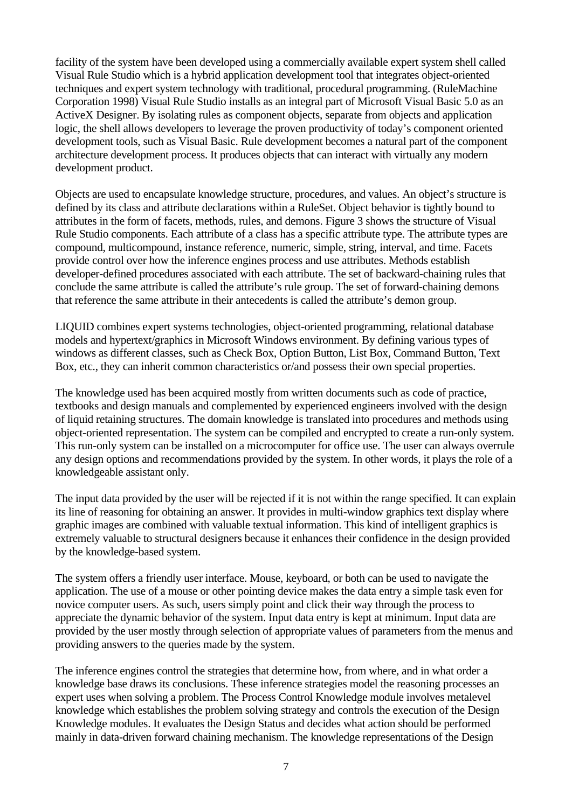facility of the system have been developed using a commercially available expert system shell called Visual Rule Studio which is a hybrid application development tool that integrates object-oriented techniques and expert system technology with traditional, procedural programming. (RuleMachine Corporation 1998) Visual Rule Studio installs as an integral part of Microsoft Visual Basic 5.0 as an ActiveX Designer. By isolating rules as component objects, separate from objects and application logic, the shell allows developers to leverage the proven productivity of today's component oriented development tools, such as Visual Basic. Rule development becomes a natural part of the component architecture development process. It produces objects that can interact with virtually any modern development product.

Objects are used to encapsulate knowledge structure, procedures, and values. An object's structure is defined by its class and attribute declarations within a RuleSet. Object behavior is tightly bound to attributes in the form of facets, methods, rules, and demons. Figure 3 shows the structure of Visual Rule Studio components. Each attribute of a class has a specific attribute type. The attribute types are compound, multicompound, instance reference, numeric, simple, string, interval, and time. Facets provide control over how the inference engines process and use attributes. Methods establish developer-defined procedures associated with each attribute. The set of backward-chaining rules that conclude the same attribute is called the attribute's rule group. The set of forward-chaining demons that reference the same attribute in their antecedents is called the attribute's demon group.

LIQUID combines expert systems technologies, object-oriented programming, relational database models and hypertext/graphics in Microsoft Windows environment. By defining various types of windows as different classes, such as Check Box, Option Button, List Box, Command Button, Text Box, etc., they can inherit common characteristics or/and possess their own special properties.

The knowledge used has been acquired mostly from written documents such as code of practice, textbooks and design manuals and complemented by experienced engineers involved with the design of liquid retaining structures. The domain knowledge is translated into procedures and methods using object-oriented representation. The system can be compiled and encrypted to create a run-only system. This run-only system can be installed on a microcomputer for office use. The user can always overrule any design options and recommendations provided by the system. In other words, it plays the role of a knowledgeable assistant only.

The input data provided by the user will be rejected if it is not within the range specified. It can explain its line of reasoning for obtaining an answer. It provides in multi-window graphics text display where graphic images are combined with valuable textual information. This kind of intelligent graphics is extremely valuable to structural designers because it enhances their confidence in the design provided by the knowledge-based system.

The system offers a friendly user interface. Mouse, keyboard, or both can be used to navigate the application. The use of a mouse or other pointing device makes the data entry a simple task even for novice computer users. As such, users simply point and click their way through the process to appreciate the dynamic behavior of the system. Input data entry is kept at minimum. Input data are provided by the user mostly through selection of appropriate values of parameters from the menus and providing answers to the queries made by the system.

The inference engines control the strategies that determine how, from where, and in what order a knowledge base draws its conclusions. These inference strategies model the reasoning processes an expert uses when solving a problem. The Process Control Knowledge module involves metalevel knowledge which establishes the problem solving strategy and controls the execution of the Design Knowledge modules. It evaluates the Design Status and decides what action should be performed mainly in data-driven forward chaining mechanism. The knowledge representations of the Design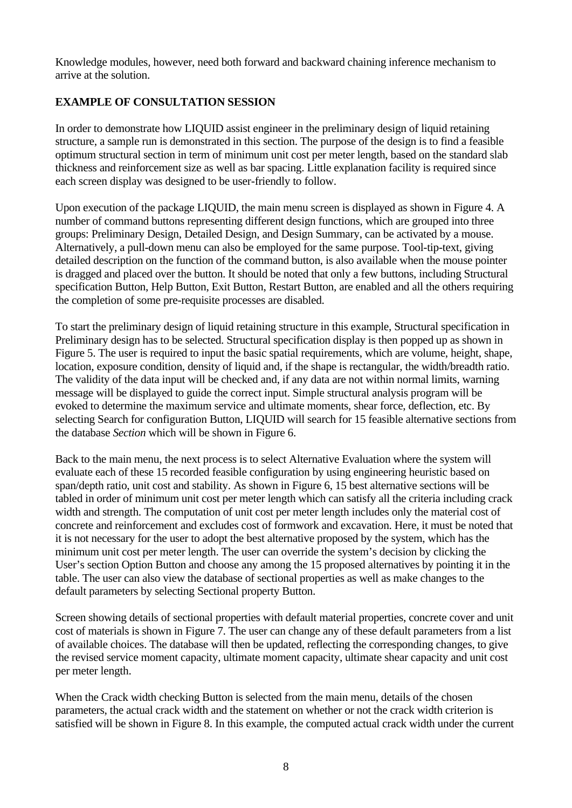Knowledge modules, however, need both forward and backward chaining inference mechanism to arrive at the solution.

# **EXAMPLE OF CONSULTATION SESSION**

In order to demonstrate how LIQUID assist engineer in the preliminary design of liquid retaining structure, a sample run is demonstrated in this section. The purpose of the design is to find a feasible optimum structural section in term of minimum unit cost per meter length, based on the standard slab thickness and reinforcement size as well as bar spacing. Little explanation facility is required since each screen display was designed to be user-friendly to follow.

Upon execution of the package LIQUID, the main menu screen is displayed as shown in Figure 4. A number of command buttons representing different design functions, which are grouped into three groups: Preliminary Design, Detailed Design, and Design Summary, can be activated by a mouse. Alternatively, a pull-down menu can also be employed for the same purpose. Tool-tip-text, giving detailed description on the function of the command button, is also available when the mouse pointer is dragged and placed over the button. It should be noted that only a few buttons, including Structural specification Button, Help Button, Exit Button, Restart Button, are enabled and all the others requiring the completion of some pre-requisite processes are disabled.

To start the preliminary design of liquid retaining structure in this example, Structural specification in Preliminary design has to be selected. Structural specification display is then popped up as shown in Figure 5. The user is required to input the basic spatial requirements, which are volume, height, shape, location, exposure condition, density of liquid and, if the shape is rectangular, the width/breadth ratio. The validity of the data input will be checked and, if any data are not within normal limits, warning message will be displayed to guide the correct input. Simple structural analysis program will be evoked to determine the maximum service and ultimate moments, shear force, deflection, etc. By selecting Search for configuration Button, LIQUID will search for 15 feasible alternative sections from the database *Section* which will be shown in Figure 6.

Back to the main menu, the next process is to select Alternative Evaluation where the system will evaluate each of these 15 recorded feasible configuration by using engineering heuristic based on span/depth ratio, unit cost and stability. As shown in Figure 6, 15 best alternative sections will be tabled in order of minimum unit cost per meter length which can satisfy all the criteria including crack width and strength. The computation of unit cost per meter length includes only the material cost of concrete and reinforcement and excludes cost of formwork and excavation. Here, it must be noted that it is not necessary for the user to adopt the best alternative proposed by the system, which has the minimum unit cost per meter length. The user can override the system's decision by clicking the User's section Option Button and choose any among the 15 proposed alternatives by pointing it in the table. The user can also view the database of sectional properties as well as make changes to the default parameters by selecting Sectional property Button.

Screen showing details of sectional properties with default material properties, concrete cover and unit cost of materials is shown in Figure 7. The user can change any of these default parameters from a list of available choices. The database will then be updated, reflecting the corresponding changes, to give the revised service moment capacity, ultimate moment capacity, ultimate shear capacity and unit cost per meter length.

When the Crack width checking Button is selected from the main menu, details of the chosen parameters, the actual crack width and the statement on whether or not the crack width criterion is satisfied will be shown in Figure 8. In this example, the computed actual crack width under the current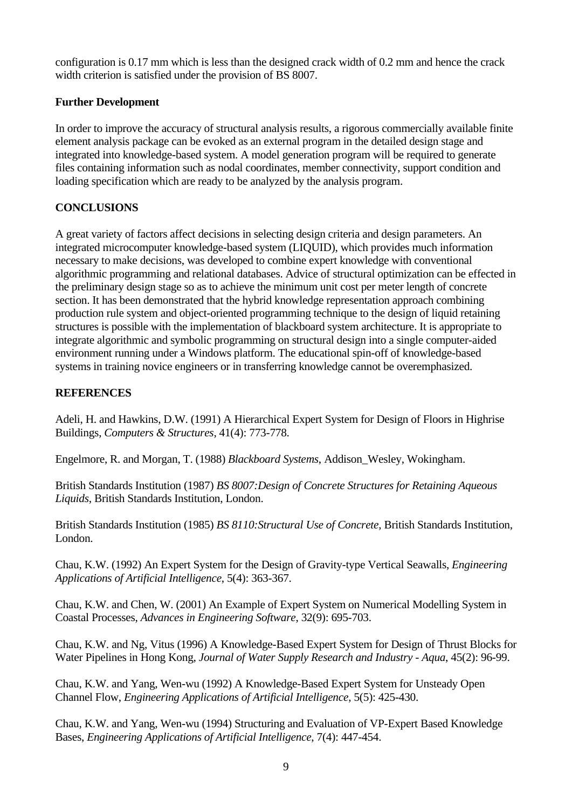configuration is 0.17 mm which is less than the designed crack width of 0.2 mm and hence the crack width criterion is satisfied under the provision of BS 8007.

### **Further Development**

In order to improve the accuracy of structural analysis results, a rigorous commercially available finite element analysis package can be evoked as an external program in the detailed design stage and integrated into knowledge-based system. A model generation program will be required to generate files containing information such as nodal coordinates, member connectivity, support condition and loading specification which are ready to be analyzed by the analysis program.

## **CONCLUSIONS**

A great variety of factors affect decisions in selecting design criteria and design parameters. An integrated microcomputer knowledge-based system (LIQUID), which provides much information necessary to make decisions, was developed to combine expert knowledge with conventional algorithmic programming and relational databases. Advice of structural optimization can be effected in the preliminary design stage so as to achieve the minimum unit cost per meter length of concrete section. It has been demonstrated that the hybrid knowledge representation approach combining production rule system and object-oriented programming technique to the design of liquid retaining structures is possible with the implementation of blackboard system architecture. It is appropriate to integrate algorithmic and symbolic programming on structural design into a single computer-aided environment running under a Windows platform. The educational spin-off of knowledge-based systems in training novice engineers or in transferring knowledge cannot be overemphasized.

## **REFERENCES**

Adeli, H. and Hawkins, D.W. (1991) A Hierarchical Expert System for Design of Floors in Highrise Buildings, *Computers & Structures*, 41(4): 773-778.

Engelmore, R. and Morgan, T. (1988) *Blackboard Systems*, Addison\_Wesley, Wokingham.

British Standards Institution (1987) *BS 8007:Design of Concrete Structures for Retaining Aqueous Liquids*, British Standards Institution, London.

British Standards Institution (1985) *BS 8110:Structural Use of Concrete*, British Standards Institution, London.

Chau, K.W. (1992) An Expert System for the Design of Gravity-type Vertical Seawalls, *Engineering Applications of Artificial Intelligence*, 5(4): 363-367.

Chau, K.W. and Chen, W. (2001) An Example of Expert System on Numerical Modelling System in Coastal Processes, *Advances in Engineering Software*, 32(9): 695-703.

Chau, K.W. and Ng, Vitus (1996) A Knowledge-Based Expert System for Design of Thrust Blocks for Water Pipelines in Hong Kong, *Journal of Water Supply Research and Industry - Aqua*, 45(2): 96-99.

Chau, K.W. and Yang, Wen-wu (1992) A Knowledge-Based Expert System for Unsteady Open Channel Flow, *Engineering Applications of Artificial Intelligence*, 5(5): 425-430.

Chau, K.W. and Yang, Wen-wu (1994) Structuring and Evaluation of VP-Expert Based Knowledge Bases, *Engineering Applications of Artificial Intelligence*, 7(4): 447-454.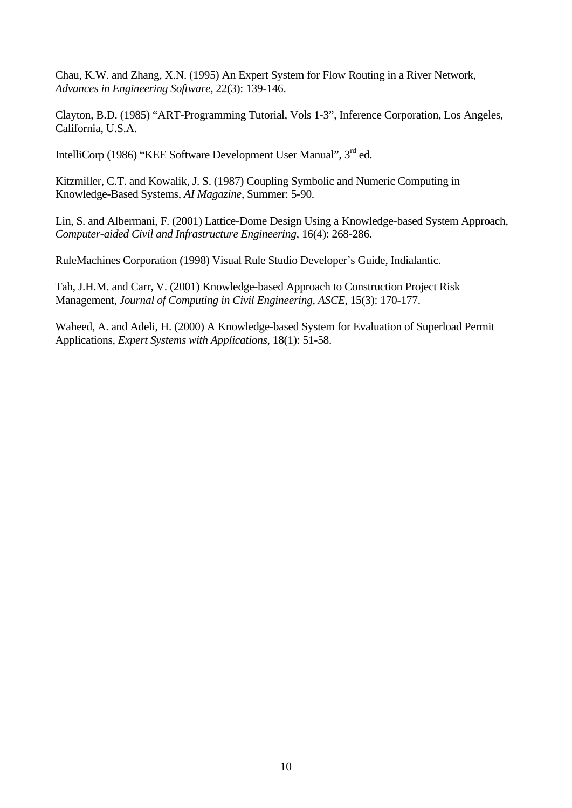Chau, K.W. and Zhang, X.N. (1995) An Expert System for Flow Routing in a River Network, *Advances in Engineering Software*, 22(3): 139-146.

Clayton, B.D. (1985) "ART-Programming Tutorial, Vols 1-3", Inference Corporation, Los Angeles, California, U.S.A.

IntelliCorp (1986) "KEE Software Development User Manual", 3<sup>rd</sup> ed.

Kitzmiller, C.T. and Kowalik, J. S. (1987) Coupling Symbolic and Numeric Computing in Knowledge-Based Systems, *AI Magazine*, Summer: 5-90.

Lin, S. and Albermani, F. (2001) Lattice-Dome Design Using a Knowledge-based System Approach, *Computer-aided Civil and Infrastructure Engineering*, 16(4): 268-286.

RuleMachines Corporation (1998) Visual Rule Studio Developer's Guide, Indialantic.

Tah, J.H.M. and Carr, V. (2001) Knowledge-based Approach to Construction Project Risk Management, *Journal of Computing in Civil Engineering, ASCE*, 15(3): 170-177.

Waheed, A. and Adeli, H. (2000) A Knowledge-based System for Evaluation of Superload Permit Applications, *Expert Systems with Applications*, 18(1): 51-58.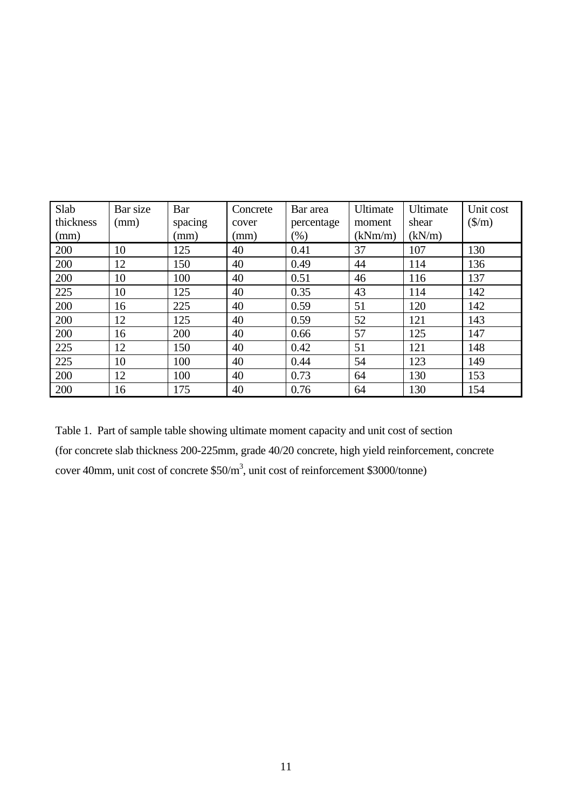| Slab      | Bar size | Bar     | Concrete | Bar area   | Ultimate | Ultimate | Unit cost                     |
|-----------|----------|---------|----------|------------|----------|----------|-------------------------------|
| thickness | (mm)     | spacing | cover    | percentage | moment   | shear    | $(\frac{\text{S}}{\text{m}})$ |
| (mm)      |          | (mm)    | (mm)     | $(\% )$    | (kNm/m)  | (kN/m)   |                               |
| 200       | 10       | 125     | 40       | 0.41       | 37       | 107      | 130                           |
| 200       | 12       | 150     | 40       | 0.49       | 44       | 114      | 136                           |
| 200       | 10       | 100     | 40       | 0.51       | 46       | 116      | 137                           |
| 225       | 10       | 125     | 40       | 0.35       | 43       | 114      | 142                           |
| 200       | 16       | 225     | 40       | 0.59       | 51       | 120      | 142                           |
| 200       | 12       | 125     | 40       | 0.59       | 52       | 121      | 143                           |
| 200       | 16       | 200     | 40       | 0.66       | 57       | 125      | 147                           |
| 225       | 12       | 150     | 40       | 0.42       | 51       | 121      | 148                           |
| 225       | 10       | 100     | 40       | 0.44       | 54       | 123      | 149                           |
| 200       | 12       | 100     | 40       | 0.73       | 64       | 130      | 153                           |
| 200       | 16       | 175     | 40       | 0.76       | 64       | 130      | 154                           |

Table 1. Part of sample table showing ultimate moment capacity and unit cost of section (for concrete slab thickness 200-225mm, grade 40/20 concrete, high yield reinforcement, concrete cover 40mm, unit cost of concrete \$50/m<sup>3</sup>, unit cost of reinforcement \$3000/tonne)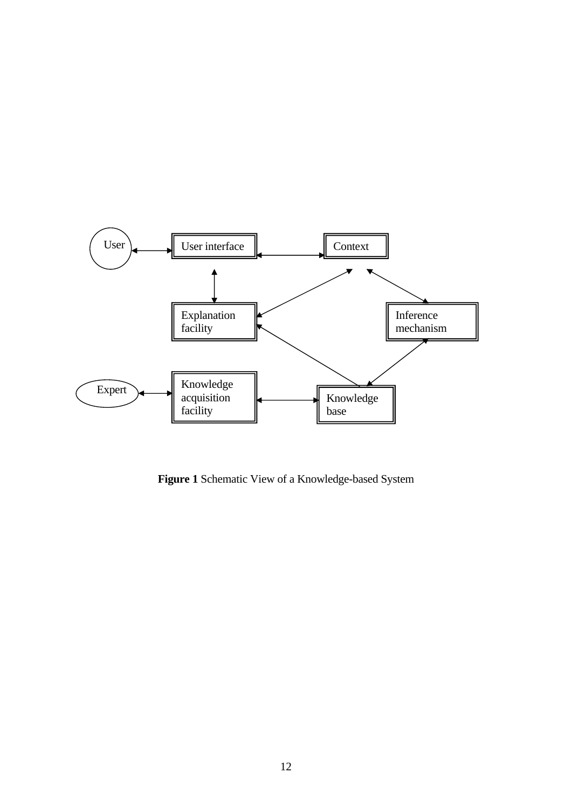

**Figure 1** Schematic View of a Knowledge-based System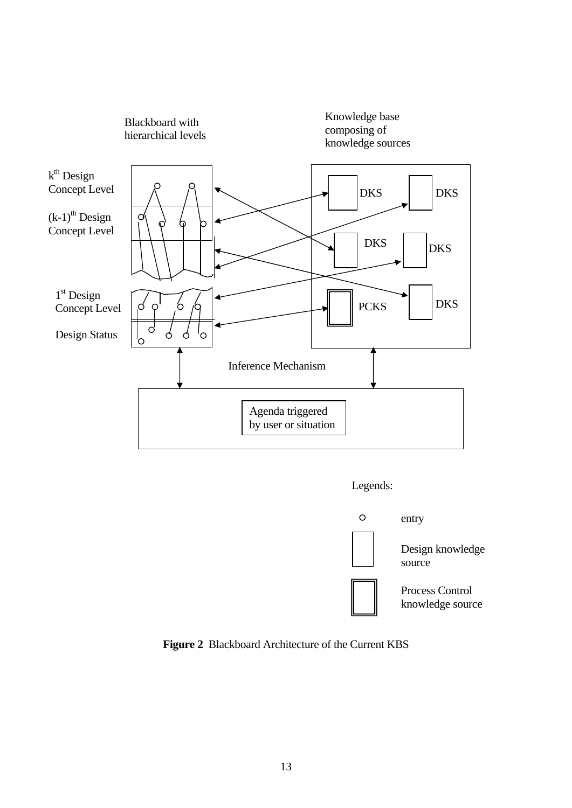



**Figure 2** Blackboard Architecture of the Current KBS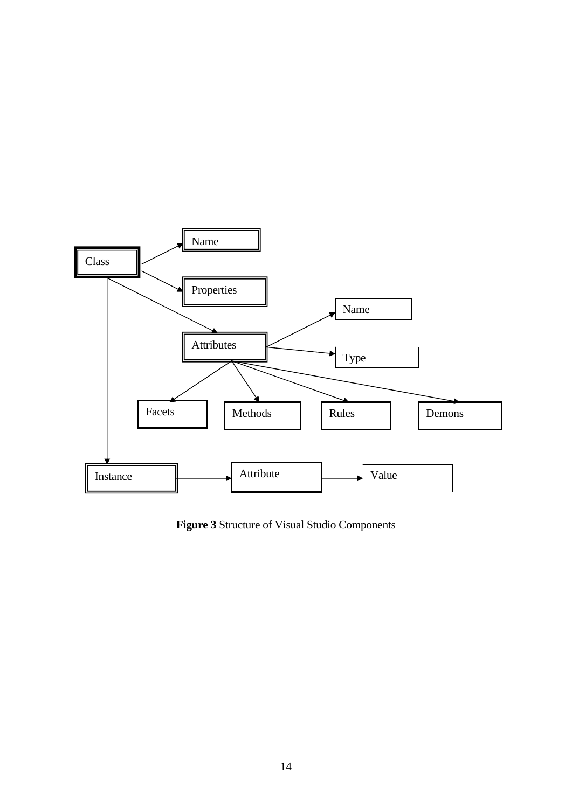

**Figure 3** Structure of Visual Studio Components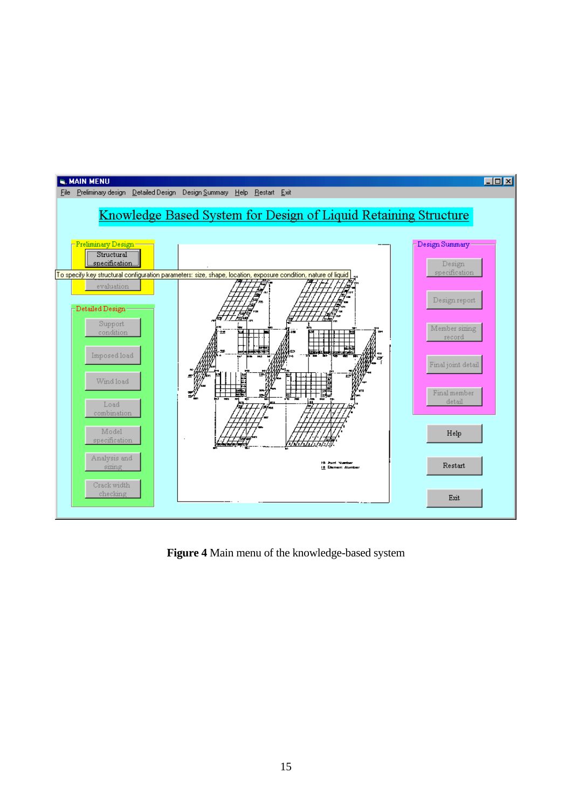

**Figure 4** Main menu of the knowledge-based system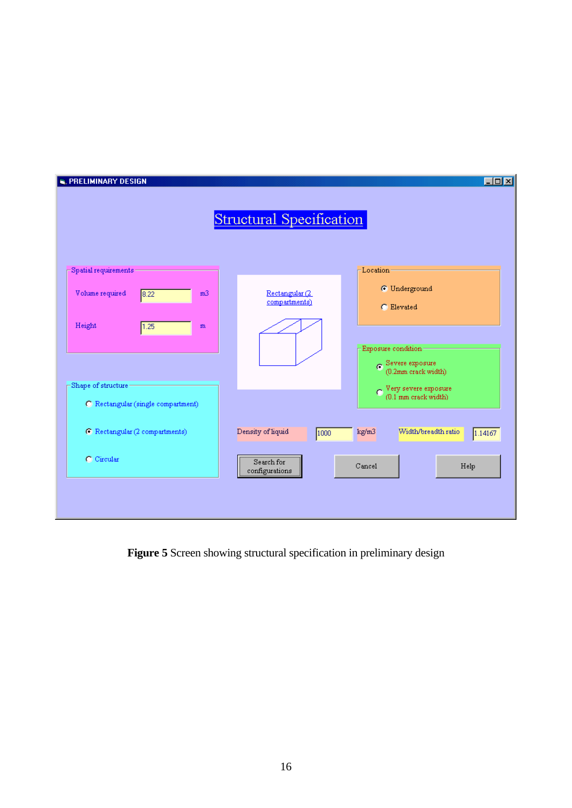| <b>R. PRELIMINARY DESIGN</b>                             | <b>Structural Specification</b>  | $ \Box$ $\times$                                                      |
|----------------------------------------------------------|----------------------------------|-----------------------------------------------------------------------|
| Spatial requirements                                     |                                  | $\mathsf{\neg Location}\vspace{-1pt}$                                 |
| Volume required<br>m <sup>3</sup><br>8.22                | Rectangular (2)<br>compartments) | <b>C</b> Underground<br>C Elevated                                    |
| Height<br>1.25<br>m                                      |                                  | Exposure condition:<br>$\odot$ Severe exposure<br>(0.2mm crack width) |
| Shape of structure<br>C Rectangular (single compartment) |                                  | $\bigcirc$ Very severe exposure<br>(0.1 mm crack width)               |
| C Rectangular (2 compartments)                           | Density of liquid<br>1000        | Width/breadth ratio<br>kg/m3<br>1.14167                               |
| $C$ Circular                                             | Search for<br>configurations     | Cancel<br>Help                                                        |
|                                                          |                                  |                                                                       |

**Figure 5** Screen showing structural specification in preliminary design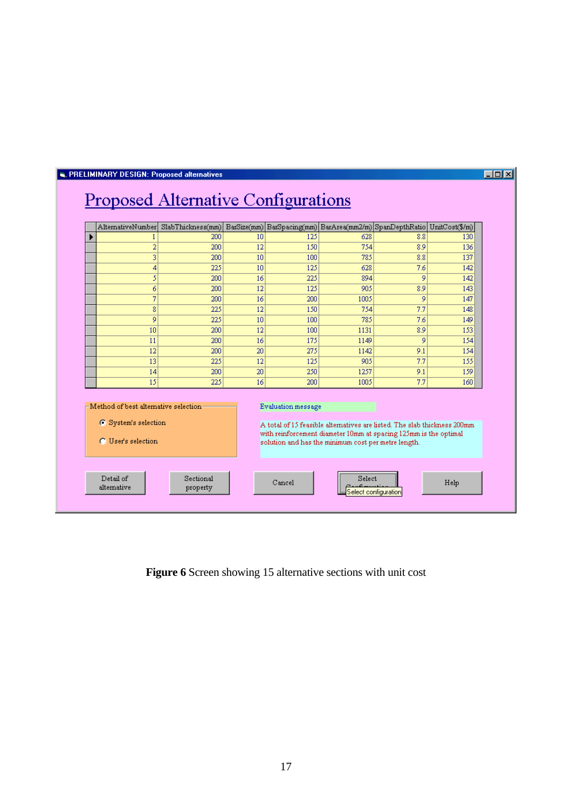| R. PRELIMINARY DESIGN: Proposed alternatives |
|----------------------------------------------|
|----------------------------------------------|

#### $\Box$

#### Proposed Alternative Configurations AlternativeNumber | SlabThickness(mm) | BarSize(mm) | BarSpacing(mm) | BarArea(mm2/m) | SpanDepthRatio | UnitCost(\$/m) |  $\overline{1}$ 200  $\overline{10}$ 125 628  $\overline{8.8}$ 130  $\blacktriangleright$  $\overline{2}$ 150 754  $\overline{200}$  $\overline{12}$  $\overline{8.9}$ 136  $\overline{3}$  $\overline{100}$ 785  $\overline{8.8}$ 137  $\overline{200}$  $\overline{10}$  $\overline{4}$  $\frac{1}{225}$  $\overline{125}$  $\overline{76}$  $\overline{142}$  $\overline{10}$  $\overline{628}$  $\overline{200}$  $\overline{225}$ 894  $\overline{9}$  $\overline{142}$  $\overline{16}$  $\overline{6}$  $\overline{200}$  $\overline{12}$  $\overline{125}$ 905  $\overline{8.9}$  $\overline{143}$  $\overline{7}$ 200  $\overline{16}$ 200 1005  $\overline{9}$ 147  $\overline{77}$  $\overline{8}$ 225  $\overline{12}$ 150 754 148  $\overline{9}$ 225  $10$  $100$ 785  $7.6$ 149  $\overline{10}$  $\overline{200}$  $\overline{12}$  $100$ 1131  $\overline{8.9}$ 153  $\overline{11}$  $\overline{200}$  $\overline{16}$ 175 1149  $\overline{9}$ 154  $\overline{12}$  $\overline{200}$  $\overline{20}$ 275 1142  $\overline{9.1}$ 154  $\overline{13}$  $\overline{225}$  $\overline{12}$  $\overline{125}$ 905  $\overline{77}$ 155  $\overline{14}$  $\overline{200}$  $\overline{20}$ 250 1257  $9.1$ 159  $\overline{15}$ 1005  $\overline{77}$ 225 16 200 160 Method of best alternative selection Evaluation message

System's selection A total of 15 feasible alternatives are listed. The slab thickness  $200\mathrm{mm}$ with reinforcement diameter 10mm at spacing 125mm is the optimal  $\bigcirc$ User's selection solution and has the minimum cost per metre length. Detail of Sectional  $S<sub>elect</sub>$  $C$ ancel Help  $\n *alternative*\n$ property Select configuration

**Figure 6** Screen showing 15 alternative sections with unit cost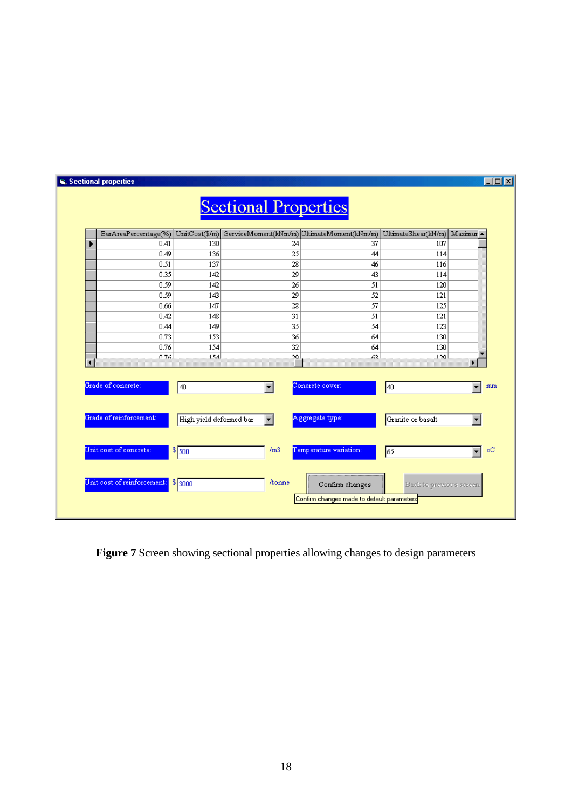|   | BarAreaPercentage(%)                          |                               |                                             | UnitCost(\$/m) ServiceMoment(kNm/m) UltimateMoment(kNm/m) | UltimateShear(kN/m) Maximur |                                     |
|---|-----------------------------------------------|-------------------------------|---------------------------------------------|-----------------------------------------------------------|-----------------------------|-------------------------------------|
|   | 0.41                                          | 130                           | 24                                          | 37                                                        | 107                         |                                     |
|   | 0.49                                          | 136                           | 25                                          | 44                                                        | 114                         |                                     |
|   | 0.51                                          | 137                           | 28                                          | 46                                                        | 116                         |                                     |
|   | 0.35                                          | 142                           | 29                                          | 43                                                        | 114                         |                                     |
|   | 0.59                                          | 142                           | 26                                          | 51                                                        | 120                         |                                     |
|   | 0.59                                          | 143                           | 29                                          | 52                                                        | 121                         |                                     |
|   | 0.66                                          | 147                           | 28                                          | 57                                                        | 125                         |                                     |
|   | 0.42                                          | 148                           | 31                                          | 51                                                        | 121                         |                                     |
|   | 0.44                                          | 149                           | 35                                          | 54                                                        | 123                         |                                     |
|   | 0.73                                          | 153                           | 36                                          | 64                                                        | 130                         |                                     |
|   | 0.76                                          | 154                           | 32                                          | 64                                                        | 130                         |                                     |
| ∢ | 0.76                                          | 154                           | 20 l                                        | 63.                                                       | 120                         | ٠                                   |
|   | Grade of concrete:<br>Grade of reinforcement: | 40<br>High yield deformed bar | $\vert \cdot \vert$<br>$\blacktriangledown$ | Concrete cover:<br>Aggregate type:                        | 40<br>Granite or basalt     | ۰                                   |
|   | Unit cost of concrete:                        | \$ 500                        | /m <sub>3</sub>                             | Temperature variation:                                    | 165                         | $_{\rm oC}$<br>$\blacktriangledown$ |

**Figure 7** Screen showing sectional properties allowing changes to design parameters